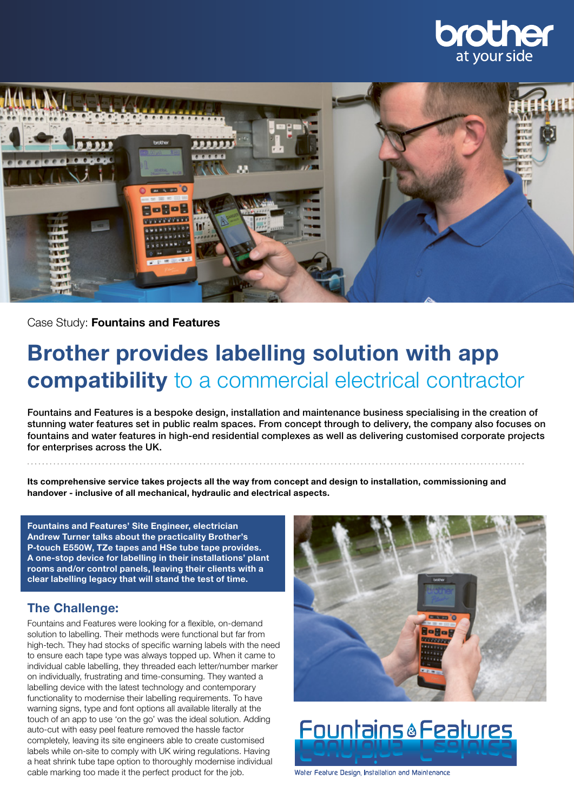



Case Study: Fountains and Features

# Brother provides labelling solution with app compatibility to a commercial electrical contractor

Fountains and Features is a bespoke design, installation and maintenance business specialising in the creation of stunning water features set in public realm spaces. From concept through to delivery, the company also focuses on fountains and water features in high-end residential complexes as well as delivering customised corporate projects for enterprises across the UK.

Its comprehensive service takes projects all the way from concept and design to installation, commissioning and handover - inclusive of all mechanical, hydraulic and electrical aspects.

Fountains and Features' Site Engineer, electrician Andrew Turner talks about the practicality Brother's P-touch E550W, TZe tapes and HSe tube tape provides. A one-stop device for labelling in their installations' plant rooms and/or control panels, leaving their clients with a clear labelling legacy that will stand the test of time.

### The Challenge:

Fountains and Features were looking for a flexible, on-demand solution to labelling. Their methods were functional but far from high-tech. They had stocks of specific warning labels with the need to ensure each tape type was always topped up. When it came to individual cable labelling, they threaded each letter/number marker on individually, frustrating and time-consuming. They wanted a labelling device with the latest technology and contemporary functionality to modernise their labelling requirements. To have warning signs, type and font options all available literally at the touch of an app to use 'on the go' was the ideal solution. Adding auto-cut with easy peel feature removed the hassle factor completely, leaving its site engineers able to create customised labels while on-site to comply with UK wiring regulations. Having a heat shrink tube tape option to thoroughly modernise individual cable marking too made it the perfect product for the job.





Water Feature Design, Installation and Maintenance